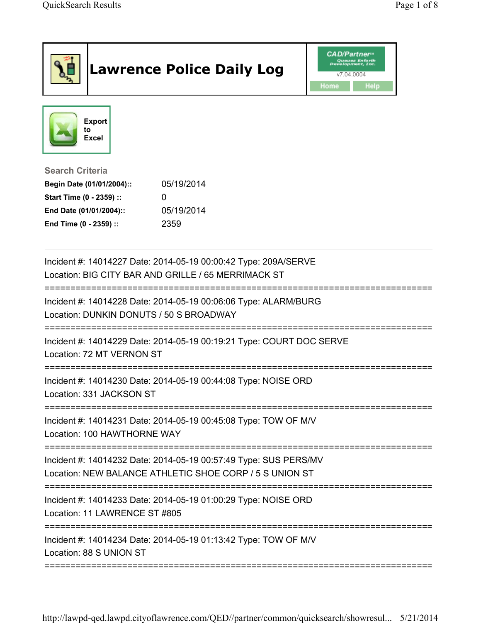|                                                                                                                                      | <b>Lawrence Police Daily Log</b>                                                                                            | <b>CAD/Partner</b><br>elopment, Inc.<br>v7.04.0004<br>Help<br>Home |
|--------------------------------------------------------------------------------------------------------------------------------------|-----------------------------------------------------------------------------------------------------------------------------|--------------------------------------------------------------------|
| <b>Export</b><br>to<br><b>Excel</b>                                                                                                  |                                                                                                                             |                                                                    |
| <b>Search Criteria</b><br>Begin Date (01/01/2004)::<br>Start Time (0 - 2359) ::<br>End Date (01/01/2004)::<br>End Time (0 - 2359) :: | 05/19/2014<br>0<br>05/19/2014<br>2359                                                                                       |                                                                    |
|                                                                                                                                      | Incident #: 14014227 Date: 2014-05-19 00:00:42 Type: 209A/SERVE<br>Location: BIG CITY BAR AND GRILLE / 65 MERRIMACK ST      |                                                                    |
| Location: DUNKIN DONUTS / 50 S BROADWAY                                                                                              | Incident #: 14014228 Date: 2014-05-19 00:06:06 Type: ALARM/BURG                                                             |                                                                    |
| Location: 72 MT VERNON ST                                                                                                            | Incident #: 14014229 Date: 2014-05-19 00:19:21 Type: COURT DOC SERVE                                                        |                                                                    |
| Location: 331 JACKSON ST                                                                                                             | Incident #: 14014230 Date: 2014-05-19 00:44:08 Type: NOISE ORD                                                              |                                                                    |
| Location: 100 HAWTHORNE WAY                                                                                                          | Incident #: 14014231 Date: 2014-05-19 00:45:08 Type: TOW OF M/V                                                             | ;===============                                                   |
|                                                                                                                                      | Incident #: 14014232 Date: 2014-05-19 00:57:49 Type: SUS PERS/MV<br>Location: NEW BALANCE ATHLETIC SHOE CORP / 5 S UNION ST |                                                                    |
| Location: 11 LAWRENCE ST #805                                                                                                        | Incident #: 14014233 Date: 2014-05-19 01:00:29 Type: NOISE ORD                                                              |                                                                    |
| Location: 88 S UNION ST                                                                                                              | Incident #: 14014234 Date: 2014-05-19 01:13:42 Type: TOW OF M/V                                                             |                                                                    |

http://lawpd-qed.lawpd.cityoflawrence.com/QED//partner/common/quicksearch/showresul... 5/21/2014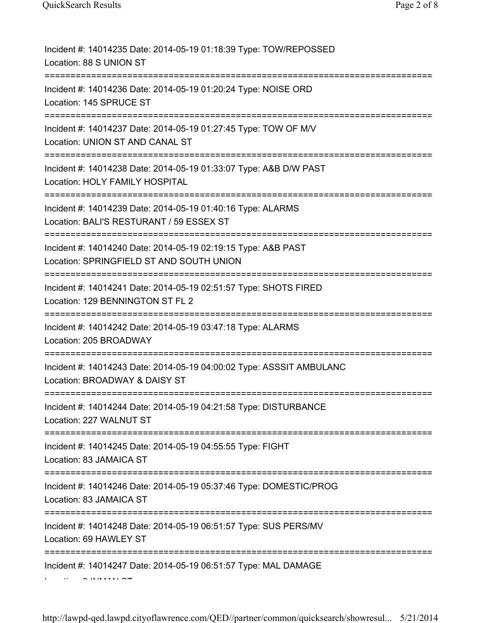| Incident #: 14014235 Date: 2014-05-19 01:18:39 Type: TOW/REPOSSED<br>Location: 88 S UNION ST              |
|-----------------------------------------------------------------------------------------------------------|
| Incident #: 14014236 Date: 2014-05-19 01:20:24 Type: NOISE ORD<br>Location: 145 SPRUCE ST                 |
| Incident #: 14014237 Date: 2014-05-19 01:27:45 Type: TOW OF M/V<br>Location: UNION ST AND CANAL ST        |
| Incident #: 14014238 Date: 2014-05-19 01:33:07 Type: A&B D/W PAST<br>Location: HOLY FAMILY HOSPITAL       |
| Incident #: 14014239 Date: 2014-05-19 01:40:16 Type: ALARMS<br>Location: BALI'S RESTURANT / 59 ESSEX ST   |
| Incident #: 14014240 Date: 2014-05-19 02:19:15 Type: A&B PAST<br>Location: SPRINGFIELD ST AND SOUTH UNION |
| Incident #: 14014241 Date: 2014-05-19 02:51:57 Type: SHOTS FIRED<br>Location: 129 BENNINGTON ST FL 2      |
| Incident #: 14014242 Date: 2014-05-19 03:47:18 Type: ALARMS<br>Location: 205 BROADWAY                     |
| Incident #: 14014243 Date: 2014-05-19 04:00:02 Type: ASSSIT AMBULANC<br>Location: BROADWAY & DAISY ST     |
| Incident #: 14014244 Date: 2014-05-19 04:21:58 Type: DISTURBANCE<br>Location: 227 WALNUT ST               |
| Incident #: 14014245 Date: 2014-05-19 04:55:55 Type: FIGHT<br>Location: 83 JAMAICA ST                     |
| Incident #: 14014246 Date: 2014-05-19 05:37:46 Type: DOMESTIC/PROG<br>Location: 83 JAMAICA ST             |
| Incident #: 14014248 Date: 2014-05-19 06:51:57 Type: SUS PERS/MV<br>Location: 69 HAWLEY ST                |
| Incident #: 14014247 Date: 2014-05-19 06:51:57 Type: MAL DAMAGE                                           |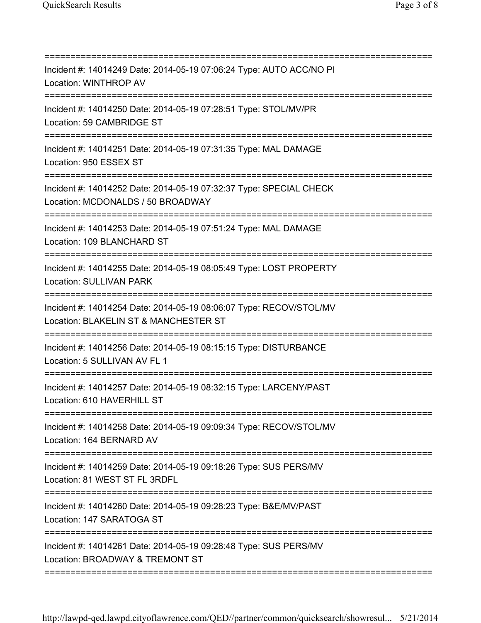| Incident #: 14014249 Date: 2014-05-19 07:06:24 Type: AUTO ACC/NO PI<br>Location: WINTHROP AV<br>----------------------------------              |
|-------------------------------------------------------------------------------------------------------------------------------------------------|
| Incident #: 14014250 Date: 2014-05-19 07:28:51 Type: STOL/MV/PR<br>Location: 59 CAMBRIDGE ST                                                    |
| Incident #: 14014251 Date: 2014-05-19 07:31:35 Type: MAL DAMAGE<br>Location: 950 ESSEX ST                                                       |
| Incident #: 14014252 Date: 2014-05-19 07:32:37 Type: SPECIAL CHECK<br>Location: MCDONALDS / 50 BROADWAY                                         |
| Incident #: 14014253 Date: 2014-05-19 07:51:24 Type: MAL DAMAGE<br>Location: 109 BLANCHARD ST                                                   |
| Incident #: 14014255 Date: 2014-05-19 08:05:49 Type: LOST PROPERTY<br><b>Location: SULLIVAN PARK</b>                                            |
| :===============================<br>Incident #: 14014254 Date: 2014-05-19 08:06:07 Type: RECOV/STOL/MV<br>Location: BLAKELIN ST & MANCHESTER ST |
| Incident #: 14014256 Date: 2014-05-19 08:15:15 Type: DISTURBANCE<br>Location: 5 SULLIVAN AV FL 1                                                |
| Incident #: 14014257 Date: 2014-05-19 08:32:15 Type: LARCENY/PAST<br>Location: 610 HAVERHILL ST                                                 |
| Incident #: 14014258 Date: 2014-05-19 09:09:34 Type: RECOV/STOL/MV<br>Location: 164 BERNARD AV                                                  |
| Incident #: 14014259 Date: 2014-05-19 09:18:26 Type: SUS PERS/MV<br>Location: 81 WEST ST FL 3RDFL                                               |
| Incident #: 14014260 Date: 2014-05-19 09:28:23 Type: B&E/MV/PAST<br>Location: 147 SARATOGA ST                                                   |
| Incident #: 14014261 Date: 2014-05-19 09:28:48 Type: SUS PERS/MV<br>Location: BROADWAY & TREMONT ST                                             |
|                                                                                                                                                 |

http://lawpd-qed.lawpd.cityoflawrence.com/QED//partner/common/quicksearch/showresul... 5/21/2014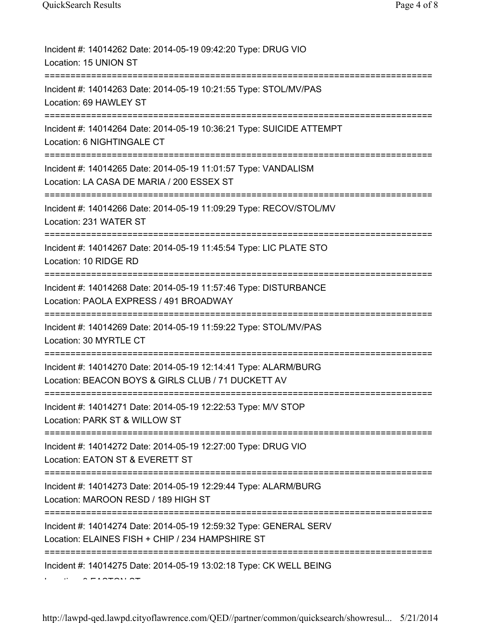| Incident #: 14014262 Date: 2014-05-19 09:42:20 Type: DRUG VIO<br>Location: 15 UNION ST                                                 |
|----------------------------------------------------------------------------------------------------------------------------------------|
| Incident #: 14014263 Date: 2014-05-19 10:21:55 Type: STOL/MV/PAS<br>Location: 69 HAWLEY ST                                             |
| Incident #: 14014264 Date: 2014-05-19 10:36:21 Type: SUICIDE ATTEMPT<br>Location: 6 NIGHTINGALE CT                                     |
| Incident #: 14014265 Date: 2014-05-19 11:01:57 Type: VANDALISM<br>Location: LA CASA DE MARIA / 200 ESSEX ST<br>;====================== |
| Incident #: 14014266 Date: 2014-05-19 11:09:29 Type: RECOV/STOL/MV<br>Location: 231 WATER ST                                           |
| Incident #: 14014267 Date: 2014-05-19 11:45:54 Type: LIC PLATE STO<br>Location: 10 RIDGE RD                                            |
| Incident #: 14014268 Date: 2014-05-19 11:57:46 Type: DISTURBANCE<br>Location: PAOLA EXPRESS / 491 BROADWAY                             |
| Incident #: 14014269 Date: 2014-05-19 11:59:22 Type: STOL/MV/PAS<br>Location: 30 MYRTLE CT                                             |
| Incident #: 14014270 Date: 2014-05-19 12:14:41 Type: ALARM/BURG<br>Location: BEACON BOYS & GIRLS CLUB / 71 DUCKETT AV                  |
| Incident #: 14014271 Date: 2014-05-19 12:22:53 Type: M/V STOP<br>Location: PARK ST & WILLOW ST                                         |
| Incident #: 14014272 Date: 2014-05-19 12:27:00 Type: DRUG VIO<br>Location: EATON ST & EVERETT ST                                       |
| Incident #: 14014273 Date: 2014-05-19 12:29:44 Type: ALARM/BURG<br>Location: MAROON RESD / 189 HIGH ST                                 |
| Incident #: 14014274 Date: 2014-05-19 12:59:32 Type: GENERAL SERV<br>Location: ELAINES FISH + CHIP / 234 HAMPSHIRE ST                  |
| Incident #: 14014275 Date: 2014-05-19 13:02:18 Type: CK WELL BEING                                                                     |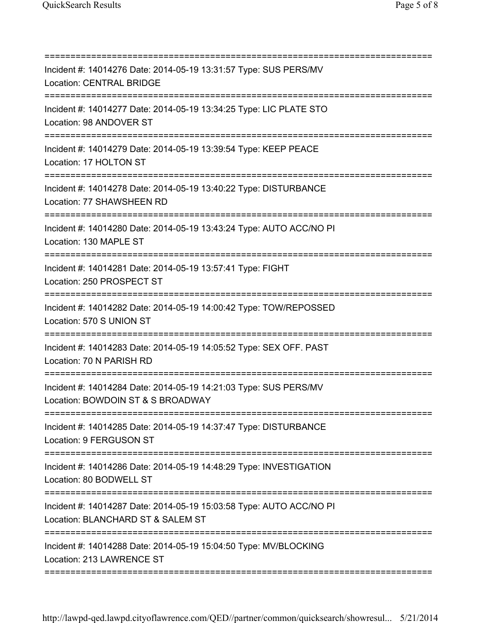| Incident #: 14014276 Date: 2014-05-19 13:31:57 Type: SUS PERS/MV<br><b>Location: CENTRAL BRIDGE</b><br>=========================== |
|------------------------------------------------------------------------------------------------------------------------------------|
| Incident #: 14014277 Date: 2014-05-19 13:34:25 Type: LIC PLATE STO<br>Location: 98 ANDOVER ST                                      |
| Incident #: 14014279 Date: 2014-05-19 13:39:54 Type: KEEP PEACE<br>Location: 17 HOLTON ST<br>------------------                    |
| Incident #: 14014278 Date: 2014-05-19 13:40:22 Type: DISTURBANCE<br>Location: 77 SHAWSHEEN RD                                      |
| Incident #: 14014280 Date: 2014-05-19 13:43:24 Type: AUTO ACC/NO PI<br>Location: 130 MAPLE ST                                      |
| ------------------------------<br>Incident #: 14014281 Date: 2014-05-19 13:57:41 Type: FIGHT<br>Location: 250 PROSPECT ST          |
| Incident #: 14014282 Date: 2014-05-19 14:00:42 Type: TOW/REPOSSED<br>Location: 570 S UNION ST                                      |
| Incident #: 14014283 Date: 2014-05-19 14:05:52 Type: SEX OFF. PAST<br>Location: 70 N PARISH RD                                     |
| Incident #: 14014284 Date: 2014-05-19 14:21:03 Type: SUS PERS/MV<br>Location: BOWDOIN ST & S BROADWAY                              |
| Incident #: 14014285 Date: 2014-05-19 14:37:47 Type: DISTURBANCE<br>Location: 9 FERGUSON ST                                        |
| Incident #: 14014286 Date: 2014-05-19 14:48:29 Type: INVESTIGATION<br>Location: 80 BODWELL ST                                      |
| Incident #: 14014287 Date: 2014-05-19 15:03:58 Type: AUTO ACC/NO PI<br>Location: BLANCHARD ST & SALEM ST                           |
| Incident #: 14014288 Date: 2014-05-19 15:04:50 Type: MV/BLOCKING<br>Location: 213 LAWRENCE ST                                      |
|                                                                                                                                    |

http://lawpd-qed.lawpd.cityoflawrence.com/QED//partner/common/quicksearch/showresul... 5/21/2014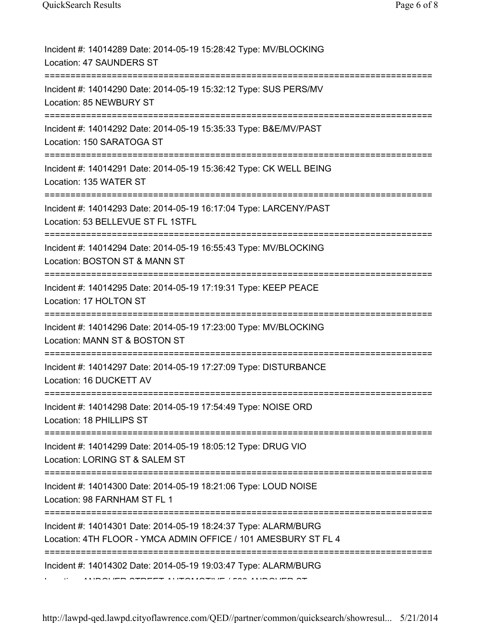| Incident #: 14014289 Date: 2014-05-19 15:28:42 Type: MV/BLOCKING<br>Location: 47 SAUNDERS ST                                      |
|-----------------------------------------------------------------------------------------------------------------------------------|
| Incident #: 14014290 Date: 2014-05-19 15:32:12 Type: SUS PERS/MV<br>Location: 85 NEWBURY ST                                       |
| Incident #: 14014292 Date: 2014-05-19 15:35:33 Type: B&E/MV/PAST<br>Location: 150 SARATOGA ST                                     |
| Incident #: 14014291 Date: 2014-05-19 15:36:42 Type: CK WELL BEING<br>Location: 135 WATER ST                                      |
| Incident #: 14014293 Date: 2014-05-19 16:17:04 Type: LARCENY/PAST<br>Location: 53 BELLEVUE ST FL 1STFL                            |
| Incident #: 14014294 Date: 2014-05-19 16:55:43 Type: MV/BLOCKING<br>Location: BOSTON ST & MANN ST<br>:============                |
| Incident #: 14014295 Date: 2014-05-19 17:19:31 Type: KEEP PEACE<br>Location: 17 HOLTON ST                                         |
| Incident #: 14014296 Date: 2014-05-19 17:23:00 Type: MV/BLOCKING<br>Location: MANN ST & BOSTON ST                                 |
| Incident #: 14014297 Date: 2014-05-19 17:27:09 Type: DISTURBANCE<br>Location: 16 DUCKETT AV                                       |
| Incident #: 14014298 Date: 2014-05-19 17:54:49 Type: NOISE ORD<br>Location: 18 PHILLIPS ST                                        |
| Incident #: 14014299 Date: 2014-05-19 18:05:12 Type: DRUG VIO<br>Location: LORING ST & SALEM ST                                   |
| Incident #: 14014300 Date: 2014-05-19 18:21:06 Type: LOUD NOISE<br>Location: 98 FARNHAM ST FL 1                                   |
| Incident #: 14014301 Date: 2014-05-19 18:24:37 Type: ALARM/BURG<br>Location: 4TH FLOOR - YMCA ADMIN OFFICE / 101 AMESBURY ST FL 4 |
| Incident #: 14014302 Date: 2014-05-19 19:03:47 Type: ALARM/BURG                                                                   |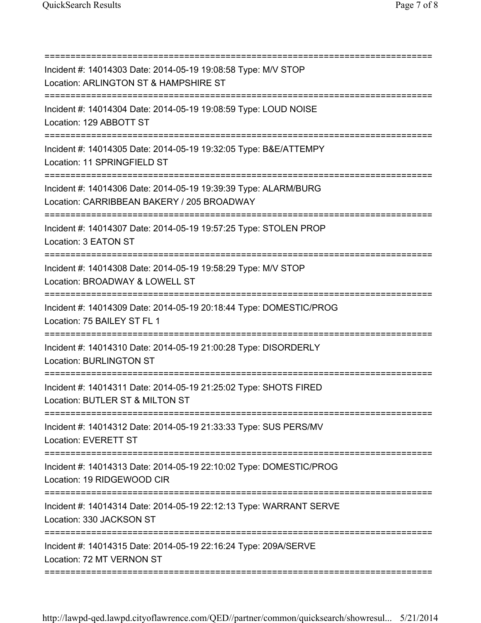| Incident #: 14014303 Date: 2014-05-19 19:08:58 Type: M/V STOP<br>Location: ARLINGTON ST & HAMPSHIRE ST<br>------------------------------------     |
|----------------------------------------------------------------------------------------------------------------------------------------------------|
| Incident #: 14014304 Date: 2014-05-19 19:08:59 Type: LOUD NOISE<br>Location: 129 ABBOTT ST                                                         |
| Incident #: 14014305 Date: 2014-05-19 19:32:05 Type: B&E/ATTEMPY<br>Location: 11 SPRINGFIELD ST                                                    |
| Incident #: 14014306 Date: 2014-05-19 19:39:39 Type: ALARM/BURG<br>Location: CARRIBBEAN BAKERY / 205 BROADWAY                                      |
| Incident #: 14014307 Date: 2014-05-19 19:57:25 Type: STOLEN PROP<br>Location: 3 EATON ST                                                           |
| Incident #: 14014308 Date: 2014-05-19 19:58:29 Type: M/V STOP<br>Location: BROADWAY & LOWELL ST                                                    |
| .====================<br>====================<br>Incident #: 14014309 Date: 2014-05-19 20:18:44 Type: DOMESTIC/PROG<br>Location: 75 BAILEY ST FL 1 |
| Incident #: 14014310 Date: 2014-05-19 21:00:28 Type: DISORDERLY<br><b>Location: BURLINGTON ST</b>                                                  |
| Incident #: 14014311 Date: 2014-05-19 21:25:02 Type: SHOTS FIRED<br>Location: BUTLER ST & MILTON ST                                                |
| =================================<br>Incident #: 14014312 Date: 2014-05-19 21:33:33 Type: SUS PERS/MV<br>Location: EVERETT ST                      |
| Incident #: 14014313 Date: 2014-05-19 22:10:02 Type: DOMESTIC/PROG<br>Location: 19 RIDGEWOOD CIR                                                   |
| Incident #: 14014314 Date: 2014-05-19 22:12:13 Type: WARRANT SERVE<br>Location: 330 JACKSON ST                                                     |
| Incident #: 14014315 Date: 2014-05-19 22:16:24 Type: 209A/SERVE<br>Location: 72 MT VERNON ST                                                       |
|                                                                                                                                                    |